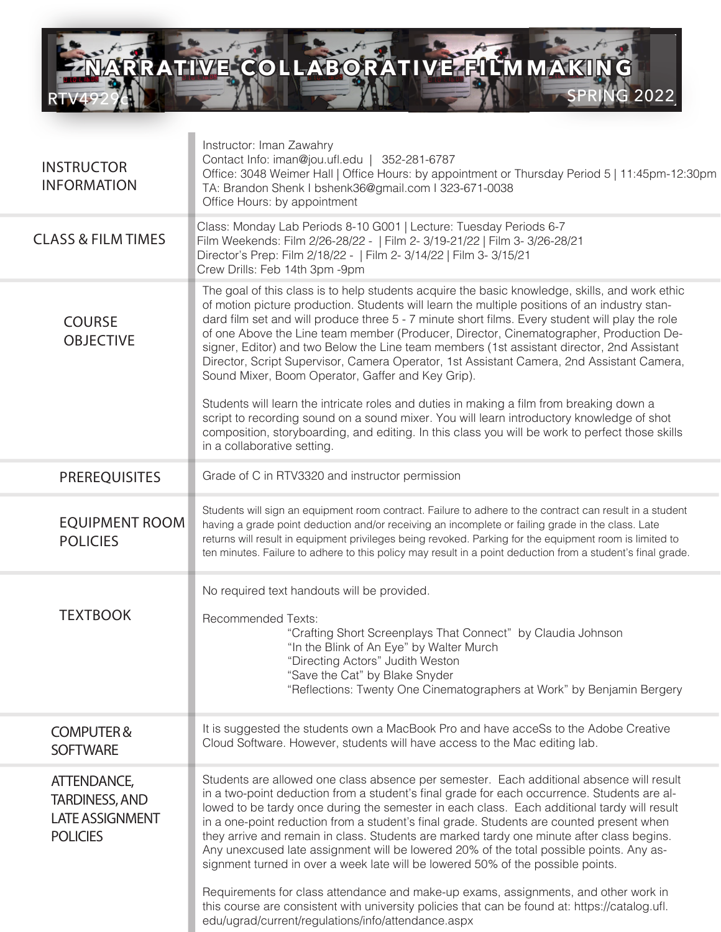

 $\mathcal{C}^{\mathcal{A}}$ 

| <b>INSTRUCTOR</b><br><b>INFORMATION</b>                                           | Instructor: Iman Zawahry<br>Contact Info: iman@jou.ufl.edu   352-281-6787<br>Office: 3048 Weimer Hall   Office Hours: by appointment or Thursday Period 5   11:45pm-12:30pm<br>TA: Brandon Shenk I bshenk36@gmail.com I 323-671-0038<br>Office Hours: by appointment                                                                                                                                                                                                                                                                                                                                                                                          |
|-----------------------------------------------------------------------------------|---------------------------------------------------------------------------------------------------------------------------------------------------------------------------------------------------------------------------------------------------------------------------------------------------------------------------------------------------------------------------------------------------------------------------------------------------------------------------------------------------------------------------------------------------------------------------------------------------------------------------------------------------------------|
| <b>CLASS &amp; FILM TIMES</b>                                                     | Class: Monday Lab Periods 8-10 G001   Lecture: Tuesday Periods 6-7<br>Film Weekends: Film 2/26-28/22 -   Film 2- 3/19-21/22   Film 3- 3/26-28/21<br>Director's Prep: Film 2/18/22 -   Film 2- 3/14/22   Film 3- 3/15/21<br>Crew Drills: Feb 14th 3pm -9pm                                                                                                                                                                                                                                                                                                                                                                                                     |
| <b>COURSE</b><br><b>OBJECTIVE</b>                                                 | The goal of this class is to help students acquire the basic knowledge, skills, and work ethic<br>of motion picture production. Students will learn the multiple positions of an industry stan-<br>dard film set and will produce three 5 - 7 minute short films. Every student will play the role<br>of one Above the Line team member (Producer, Director, Cinematographer, Production De-<br>signer, Editor) and two Below the Line team members (1st assistant director, 2nd Assistant<br>Director, Script Supervisor, Camera Operator, 1st Assistant Camera, 2nd Assistant Camera,<br>Sound Mixer, Boom Operator, Gaffer and Key Grip).                  |
|                                                                                   | Students will learn the intricate roles and duties in making a film from breaking down a<br>script to recording sound on a sound mixer. You will learn introductory knowledge of shot<br>composition, storyboarding, and editing. In this class you will be work to perfect those skills<br>in a collaborative setting.                                                                                                                                                                                                                                                                                                                                       |
| <b>PREREQUISITES</b>                                                              | Grade of C in RTV3320 and instructor permission                                                                                                                                                                                                                                                                                                                                                                                                                                                                                                                                                                                                               |
| <b>EQUIPMENT ROOM</b><br><b>POLICIES</b>                                          | Students will sign an equipment room contract. Failure to adhere to the contract can result in a student<br>having a grade point deduction and/or receiving an incomplete or failing grade in the class. Late<br>returns will result in equipment privileges being revoked. Parking for the equipment room is limited to<br>ten minutes. Failure to adhere to this policy may result in a point deduction from a student's final grade.                                                                                                                                                                                                                       |
| <b>TEXTBOOK</b>                                                                   | No required text handouts will be provided.<br><b>Recommended Texts:</b><br>"Crafting Short Screenplays That Connect" by Claudia Johnson<br>"In the Blink of An Eye" by Walter Murch<br>"Directing Actors" Judith Weston<br>"Save the Cat" by Blake Snyder<br>"Reflections: Twenty One Cinematographers at Work" by Benjamin Bergery                                                                                                                                                                                                                                                                                                                          |
| <b>COMPUTER&amp;</b><br><b>SOFTWARE</b>                                           | It is suggested the students own a MacBook Pro and have acceSs to the Adobe Creative<br>Cloud Software. However, students will have access to the Mac editing lab.                                                                                                                                                                                                                                                                                                                                                                                                                                                                                            |
| ATTENDANCE,<br><b>TARDINESS, AND</b><br><b>LATE ASSIGNMENT</b><br><b>POLICIES</b> | Students are allowed one class absence per semester. Each additional absence will result<br>in a two-point deduction from a student's final grade for each occurrence. Students are al-<br>lowed to be tardy once during the semester in each class. Each additional tardy will result<br>in a one-point reduction from a student's final grade. Students are counted present when<br>they arrive and remain in class. Students are marked tardy one minute after class begins.<br>Any unexcused late assignment will be lowered 20% of the total possible points. Any as-<br>signment turned in over a week late will be lowered 50% of the possible points. |
|                                                                                   | Requirements for class attendance and make-up exams, assignments, and other work in<br>this course are consistent with university policies that can be found at: https://catalog.ufl.<br>edu/ugrad/current/regulations/info/attendance.aspx                                                                                                                                                                                                                                                                                                                                                                                                                   |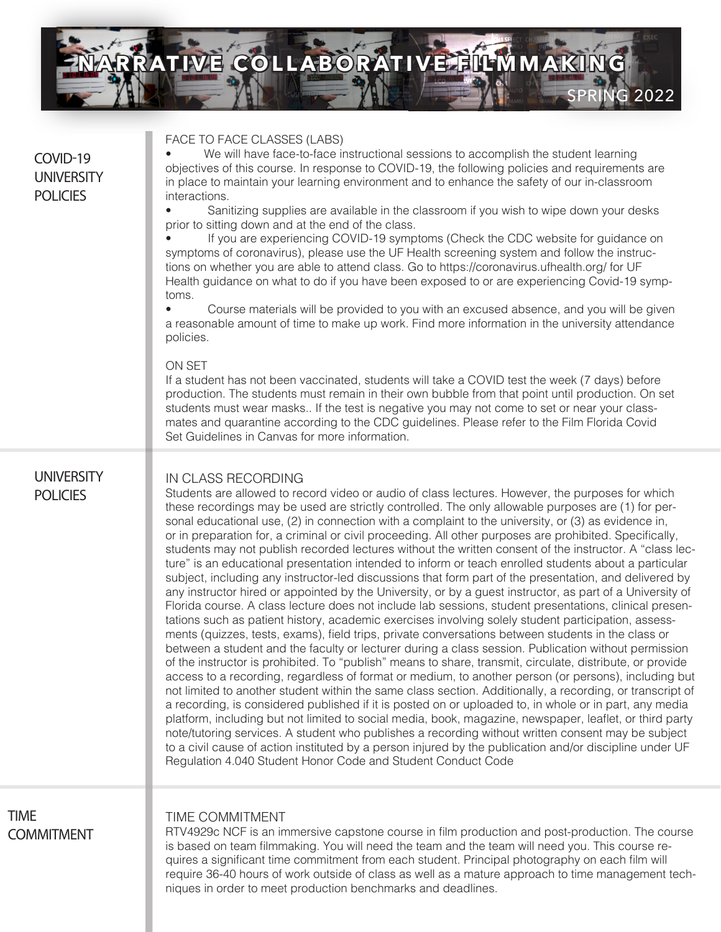

## COVID-19 **UNIVERSITY POLICIES** FACE TO FACE CLASSES (LABS) We will have face-to-face instructional sessions to accomplish the student learning objectives of this course. In response to COVID-19, the following policies and requirements are in place to maintain your learning environment and to enhance the safety of our in-classroom interactions. • Sanitizing supplies are available in the classroom if you wish to wipe down your desks prior to sitting down and at the end of the class. If you are experiencing COVID-19 symptoms (Check the CDC website for guidance on symptoms of coronavirus), please use the UF Health screening system and follow the instructions on whether you are able to attend class. Go to https://coronavirus.ufhealth.org/ for UF Health guidance on what to do if you have been exposed to or are experiencing Covid-19 symptoms. • Course materials will be provided to you with an excused absence, and you will be given a reasonable amount of time to make up work. Find more information in the university attendance policies. ON SET If a student has not been vaccinated, students will take a COVID test the week (7 days) before production. The students must remain in their own bubble from that point until production. On set students must wear masks.. If the test is negative you may not come to set or near your classmates and quarantine according to the CDC guidelines. Please refer to the Film Florida Covid Set Guidelines in Canvas for more information. **UNIVERSITY POLICIES** IN CLASS RECORDING Students are allowed to record video or audio of class lectures. However, the purposes for which these recordings may be used are strictly controlled. The only allowable purposes are (1) for personal educational use, (2) in connection with a complaint to the university, or (3) as evidence in, or in preparation for, a criminal or civil proceeding. All other purposes are prohibited. Specifically, students may not publish recorded lectures without the written consent of the instructor. A "class lecture" is an educational presentation intended to inform or teach enrolled students about a particular subject, including any instructor-led discussions that form part of the presentation, and delivered by any instructor hired or appointed by the University, or by a guest instructor, as part of a University of Florida course. A class lecture does not include lab sessions, student presentations, clinical presentations such as patient history, academic exercises involving solely student participation, assessments (quizzes, tests, exams), field trips, private conversations between students in the class or between a student and the faculty or lecturer during a class session. Publication without permission of the instructor is prohibited. To "publish" means to share, transmit, circulate, distribute, or provide access to a recording, regardless of format or medium, to another person (or persons), including but not limited to another student within the same class section. Additionally, a recording, or transcript of a recording, is considered published if it is posted on or uploaded to, in whole or in part, any media platform, including but not limited to social media, book, magazine, newspaper, leaflet, or third party note/tutoring services. A student who publishes a recording without written consent may be subject to a civil cause of action instituted by a person injured by the publication and/or discipline under UF Regulation 4.040 Student Honor Code and Student Conduct Code TIME COMMITMENT RTV4929c NCF is an immersive capstone course in film production and post-production. The course is based on team filmmaking. You will need the team and the team will need you. This course requires a significant time commitment from each student. Principal photography on each film will require 36-40 hours of work outside of class as well as a mature approach to time management techniques in order to meet production benchmarks and deadlines. TIME COMMITMENT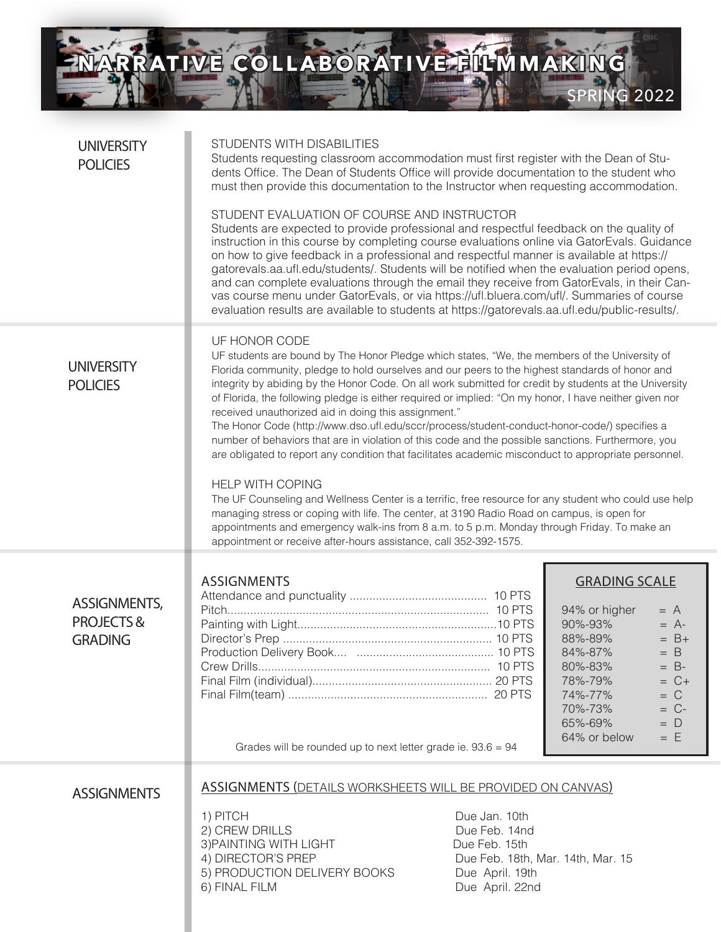ENARRA **NARRATIVE COLLABORATIVE FILM MAKING** 

SPRING 2022

| <b>UNIVERSITY</b><br><b>POLICIES</b>                          | STUDENTS WITH DISABILITIES<br>Students requesting classroom accommodation must first register with the Dean of Stu-<br>dents Office. The Dean of Students Office will provide documentation to the student who<br>must then provide this documentation to the Instructor when requesting accommodation.<br>STUDENT EVALUATION OF COURSE AND INSTRUCTOR<br>Students are expected to provide professional and respectful feedback on the quality of<br>instruction in this course by completing course evaluations online via GatorEvals. Guidance<br>on how to give feedback in a professional and respectful manner is available at https://<br>gatorevals.aa.ufl.edu/students/. Students will be notified when the evaluation period opens,<br>and can complete evaluations through the email they receive from GatorEvals, in their Can-<br>vas course menu under GatorEvals, or via https://ufl.bluera.com/ufl/. Summaries of course<br>evaluation results are available to students at https://gatorevals.aa.ufl.edu/public-results/.                                                                                                                                                                          |                                                                                                                            |                                                                                                                                                                                                                                                   |  |  |
|---------------------------------------------------------------|--------------------------------------------------------------------------------------------------------------------------------------------------------------------------------------------------------------------------------------------------------------------------------------------------------------------------------------------------------------------------------------------------------------------------------------------------------------------------------------------------------------------------------------------------------------------------------------------------------------------------------------------------------------------------------------------------------------------------------------------------------------------------------------------------------------------------------------------------------------------------------------------------------------------------------------------------------------------------------------------------------------------------------------------------------------------------------------------------------------------------------------------------------------------------------------------------------------------|----------------------------------------------------------------------------------------------------------------------------|---------------------------------------------------------------------------------------------------------------------------------------------------------------------------------------------------------------------------------------------------|--|--|
| <b>UNIVERSITY</b><br><b>POLICIES</b>                          | UF HONOR CODE<br>UF students are bound by The Honor Pledge which states, "We, the members of the University of<br>Florida community, pledge to hold ourselves and our peers to the highest standards of honor and<br>integrity by abiding by the Honor Code. On all work submitted for credit by students at the University<br>of Florida, the following pledge is either required or implied: "On my honor, I have neither given nor<br>received unauthorized aid in doing this assignment."<br>The Honor Code (http://www.dso.ufl.edu/sccr/process/student-conduct-honor-code/) specifies a<br>number of behaviors that are in violation of this code and the possible sanctions. Furthermore, you<br>are obligated to report any condition that facilitates academic misconduct to appropriate personnel.<br><b>HELP WITH COPING</b><br>The UF Counseling and Wellness Center is a terrific, free resource for any student who could use help<br>managing stress or coping with life. The center, at 3190 Radio Road on campus, is open for<br>appointments and emergency walk-ins from 8 a.m. to 5 p.m. Monday through Friday. To make an<br>appointment or receive after-hours assistance, call 352-392-1575. |                                                                                                                            |                                                                                                                                                                                                                                                   |  |  |
| <b>ASSIGNMENTS,</b><br><b>PROJECTS&amp;</b><br><b>GRADING</b> | <b>ASSIGNMENTS</b><br>Grades will be rounded up to next letter grade ie. $93.6 = 94$                                                                                                                                                                                                                                                                                                                                                                                                                                                                                                                                                                                                                                                                                                                                                                                                                                                                                                                                                                                                                                                                                                                               |                                                                                                                            | <b>GRADING SCALE</b><br>94% or higher<br>$= A$<br>90%-93%<br>$= A$ -<br>88%-89%<br>$= B +$<br>84%-87%<br>$=$ B<br>80%-83%<br>$= B$ -<br>$= C +$<br>78%-79%<br>74%-77%<br>$= C$<br>70%-73%<br>$= C$ -<br>65%-69%<br>$= D$<br>64% or below<br>$= E$ |  |  |
| <b>ASSIGNMENTS</b>                                            | <b>ASSIGNMENTS (DETAILS WORKSHEETS WILL BE PROVIDED ON CANVAS)</b><br>1) PITCH<br>2) CREW DRILLS<br>3) PAINTING WITH LIGHT<br>4) DIRECTOR'S PREP<br>5) PRODUCTION DELIVERY BOOKS<br>6) FINAL FILM                                                                                                                                                                                                                                                                                                                                                                                                                                                                                                                                                                                                                                                                                                                                                                                                                                                                                                                                                                                                                  | Due Jan. 10th<br>Due Feb. 14nd<br>Due Feb. 15th<br>Due Feb. 18th, Mar. 14th, Mar. 15<br>Due April. 19th<br>Due April. 22nd |                                                                                                                                                                                                                                                   |  |  |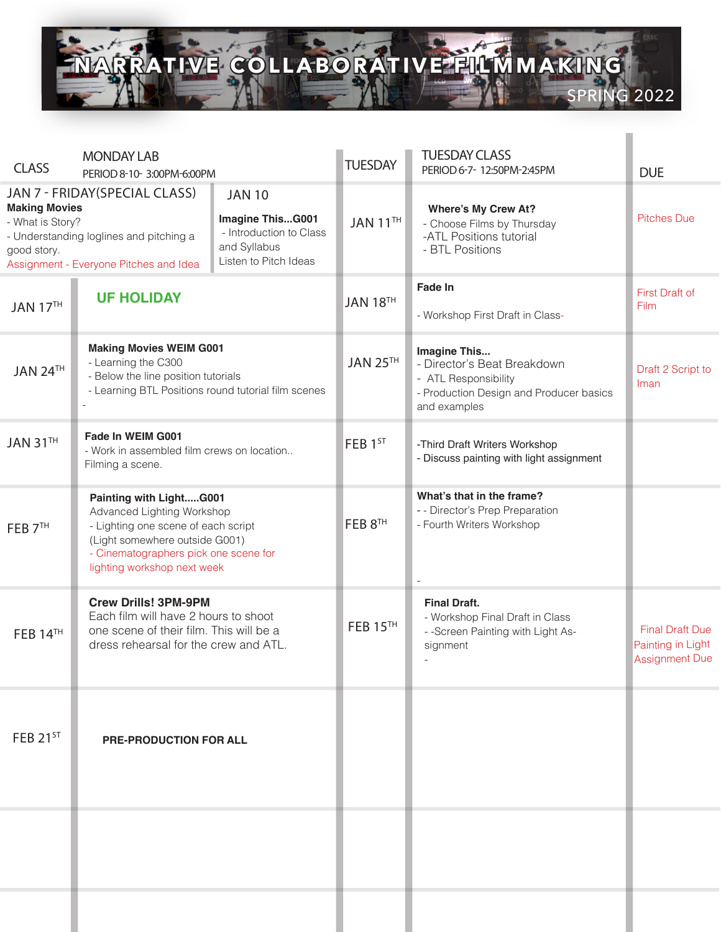

| <b>CLASS</b>                                                                                                                                                                                                                                                                                                        | <b>MONDAY LAB</b>                                                                                                                                                                                      |          | <b>TUESDAY</b>                                                                                         | <b>TUESDAY CLASS</b><br>PERIOD 6-7-12:50PM-2:45PM                                                                              | <b>DUE</b>                                                           |
|---------------------------------------------------------------------------------------------------------------------------------------------------------------------------------------------------------------------------------------------------------------------------------------------------------------------|--------------------------------------------------------------------------------------------------------------------------------------------------------------------------------------------------------|----------|--------------------------------------------------------------------------------------------------------|--------------------------------------------------------------------------------------------------------------------------------|----------------------------------------------------------------------|
| PERIOD 8-10-3:00PM-6:00PM<br>JAN 7 - FRIDAY(SPECIAL CLASS)<br><b>JAN 10</b><br><b>Making Movies</b><br>Imagine ThisG001<br>- What is Story?<br>- Introduction to Class<br>- Understanding loglines and pitching a<br>and Syllabus<br>good story.<br>Listen to Pitch Ideas<br>Assignment - Everyone Pitches and Idea |                                                                                                                                                                                                        | JAN 11TH | <b>Where's My Crew At?</b><br>- Choose Films by Thursday<br>-ATL Positions tutorial<br>- BTL Positions | <b>Pitches Due</b>                                                                                                             |                                                                      |
| <b>JAN 17TH</b>                                                                                                                                                                                                                                                                                                     | <b>UF HOLIDAY</b>                                                                                                                                                                                      |          | <b>JAN 18TH</b>                                                                                        | <b>Fade In</b><br>- Workshop First Draft in Class-                                                                             | <b>First Draft of</b><br>Film                                        |
| JAN 24TH                                                                                                                                                                                                                                                                                                            | <b>Making Movies WEIM G001</b><br>- Learning the C300<br>- Below the line position tutorials<br>- Learning BTL Positions round tutorial film scenes                                                    |          | <b>JAN 25TH</b>                                                                                        | Imagine This<br>- Director's Beat Breakdown<br>- ATL Responsibility<br>- Production Design and Producer basics<br>and examples | Draft 2 Script to<br>Iman                                            |
| <b>JAN 31TH</b>                                                                                                                                                                                                                                                                                                     | Fade In WEIM G001<br>- Work in assembled film crews on location<br>Filming a scene.                                                                                                                    |          | FEB 1ST                                                                                                | -Third Draft Writers Workshop<br>- Discuss painting with light assignment                                                      |                                                                      |
| FEB <sub>7<sup>TH</sup></sub>                                                                                                                                                                                                                                                                                       | Painting with LightG001<br>Advanced Lighting Workshop<br>- Lighting one scene of each script<br>(Light somewhere outside G001)<br>- Cinematographers pick one scene for<br>lighting workshop next week |          | FEB 8TH                                                                                                | What's that in the frame?<br>- - Director's Prep Preparation<br>- Fourth Writers Workshop                                      |                                                                      |
| <b>FEB 14TH</b>                                                                                                                                                                                                                                                                                                     | <b>Crew Drills! 3PM-9PM</b><br>Each film will have 2 hours to shoot<br>one scene of their film. This will be a<br>dress rehearsal for the crew and ATL.                                                |          | <b>FEB 15TH</b>                                                                                        | <b>Final Draft.</b><br>- Workshop Final Draft in Class<br>- - Screen Painting with Light As-<br>signment                       | <b>Final Draft Due</b><br>Painting in Light<br><b>Assignment Due</b> |
| FEB $21^{ST}$                                                                                                                                                                                                                                                                                                       | <b>PRE-PRODUCTION FOR ALL</b>                                                                                                                                                                          |          |                                                                                                        |                                                                                                                                |                                                                      |
|                                                                                                                                                                                                                                                                                                                     |                                                                                                                                                                                                        |          |                                                                                                        |                                                                                                                                |                                                                      |
|                                                                                                                                                                                                                                                                                                                     |                                                                                                                                                                                                        |          |                                                                                                        |                                                                                                                                |                                                                      |